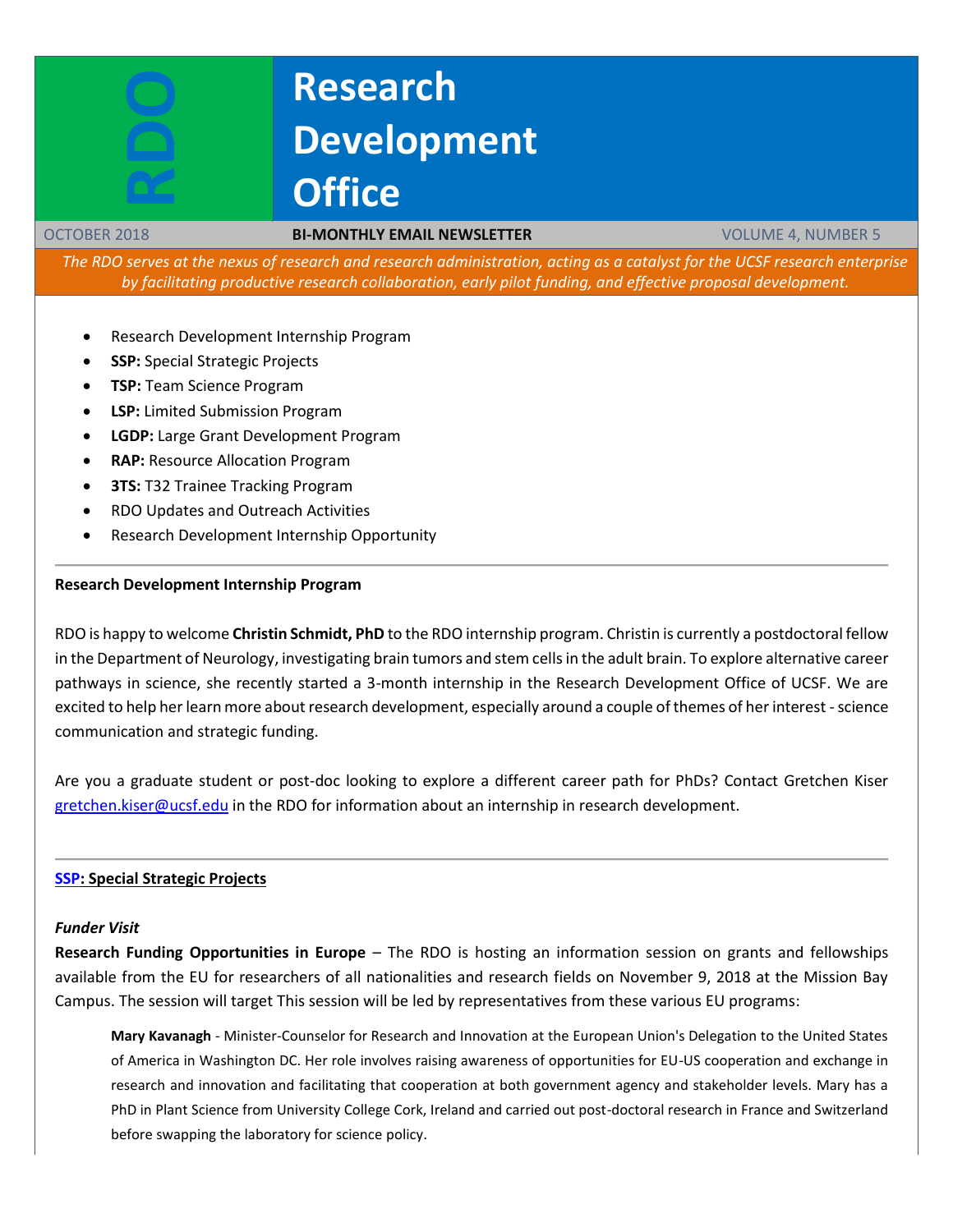# **Research Development Office**

#### OCTOBER 2018 **BI-MONTHLY EMAIL NEWSLETTER** VOLUME 4, NUMBER 5

*The RDO serves at the nexus of research and research administration, acting as a catalyst for the UCSF research enterprise by facilitating productive research collaboration, early pilot funding, and effective proposal development.*

- Research Development Internship Program
- **SSP:** Special Strategic Projects
- **TSP:** Team Science Program

**RDO**

- **LSP:** Limited Submission Program
- **LGDP:** Large Grant Development Program
- **RAP:** Resource Allocation Program
- **3TS: T32 Trainee Tracking Program**
- RDO Updates and Outreach Activities
- Research Development Internship Opportunity

#### **Research Development Internship Program**

RDO is happy to welcome **Christin Schmidt, PhD** to the RDO internship program. Christin is currently a postdoctoral fellow in the Department of Neurology, investigating brain tumors and stem cells in the adult brain. To explore alternative career pathways in science, she recently started a 3-month internship in the Research Development Office of UCSF. We are excited to help her learn more about research development, especially around a couple of themes of her interest - science communication and strategic funding.

Are you a graduate student or post-doc looking to explore a different career path for PhDs? Contact Gretchen Kiser [gretchen.kiser@ucsf.edu](mailto:gretchen.kiser@ucsf.edui) in the RDO for information about an internship in research development.

### **[SSP:](http://rdo.ucsf.edu/special-strategic-projects-ssp) Special Strategic Projects**

#### *Funder Visit*

**Research Funding Opportunities in Europe** – The RDO is hosting an information session on grants and fellowships available from the EU for researchers of all nationalities and research fields on November 9, 2018 at the Mission Bay Campus. The session will target This session will be led by representatives from these various EU programs:

**Mary Kavanagh** - Minister-Counselor for Research and Innovation at the European Union's Delegation to the United States of America in Washington DC. Her role involves raising awareness of opportunities for EU-US cooperation and exchange in research and innovation and facilitating that cooperation at both government agency and stakeholder levels. Mary has a PhD in Plant Science from University College Cork, Ireland and carried out post-doctoral research in France and Switzerland before swapping the laboratory for science policy.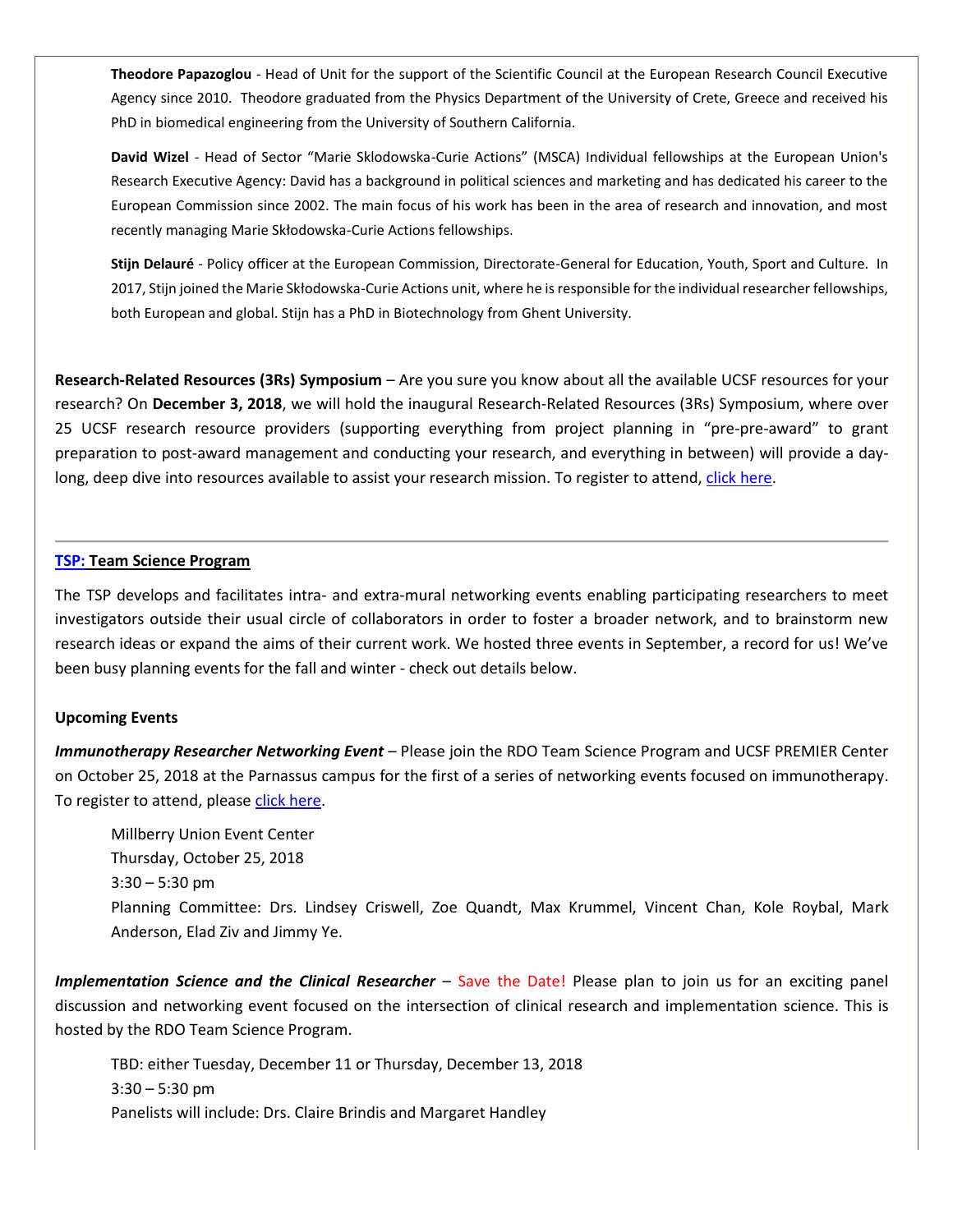**Theodore Papazoglou** - Head of Unit for the support of the Scientific Council at the European Research Council Executive Agency since 2010. Theodore graduated from the Physics Department of the University of Crete, Greece and received his PhD in biomedical engineering from the University of Southern California.

**David Wizel** - Head of Sector "Marie Sklodowska-Curie Actions" (MSCA) Individual fellowships at the European Union's Research Executive Agency: David has a background in political sciences and marketing and has dedicated his career to the European Commission since 2002. The main focus of his work has been in the area of research and innovation, and most recently managing Marie Skłodowska-Curie Actions fellowships.

**Stijn Delauré** - Policy officer at the European Commission, Directorate-General for Education, Youth, Sport and Culture. In 2017, Stijn joined the Marie Skłodowska-Curie Actions unit, where he is responsible for the individual researcher fellowships, both European and global. Stijn has a PhD in Biotechnology from Ghent University.

**Research-Related Resources (3Rs) Symposium** – Are you sure you know about all the available UCSF resources for your research? On **December 3, 2018**, we will hold the inaugural Research-Related Resources (3Rs) Symposium, where over 25 UCSF research resource providers (supporting everything from project planning in "pre-pre-award" to grant preparation to post-award management and conducting your research, and everything in between) will provide a daylong, deep dive into resources available to assist your research mission. To register to attend[, click here.](https://www.eventbrite.com/e/research-related-resources-3rs-symposium-tickets-50283614645?aff=rdowebsite)

#### **[TSP:](http://rdo.ucsf.edu/team-science-research-innovation-program-tsrip) Team Science Program**

The TSP develops and facilitates intra- and extra-mural networking events enabling participating researchers to meet investigators outside their usual circle of collaborators in order to foster a broader network, and to brainstorm new research ideas or expand the aims of their current work. We hosted three events in September, a record for us! We've been busy planning events for the fall and winter - check out details below.

### **Upcoming Events**

*Immunotherapy Researcher Networking Event* – Please join the RDO Team Science Program and UCSF PREMIER Center on October 25, 2018 at the Parnassus campus for the first of a series of networking events focused on immunotherapy. To register to attend, please [click here.](https://www.eventbrite.com/e/immunotherapeutics-networking-event-tickets-50409600472?aff=savethedate)

Millberry Union Event Center Thursday, October 25, 2018 3:30 – 5:30 pm Planning Committee: Drs. Lindsey Criswell, Zoe Quandt, Max Krummel, Vincent Chan, Kole Roybal, Mark Anderson, Elad Ziv and Jimmy Ye.

*Implementation Science and the Clinical Researcher* – Save the Date! Please plan to join us for an exciting panel discussion and networking event focused on the intersection of clinical research and implementation science. This is hosted by the RDO Team Science Program.

TBD: either Tuesday, December 11 or Thursday, December 13, 2018 3:30 – 5:30 pm Panelists will include: Drs. Claire Brindis and Margaret Handley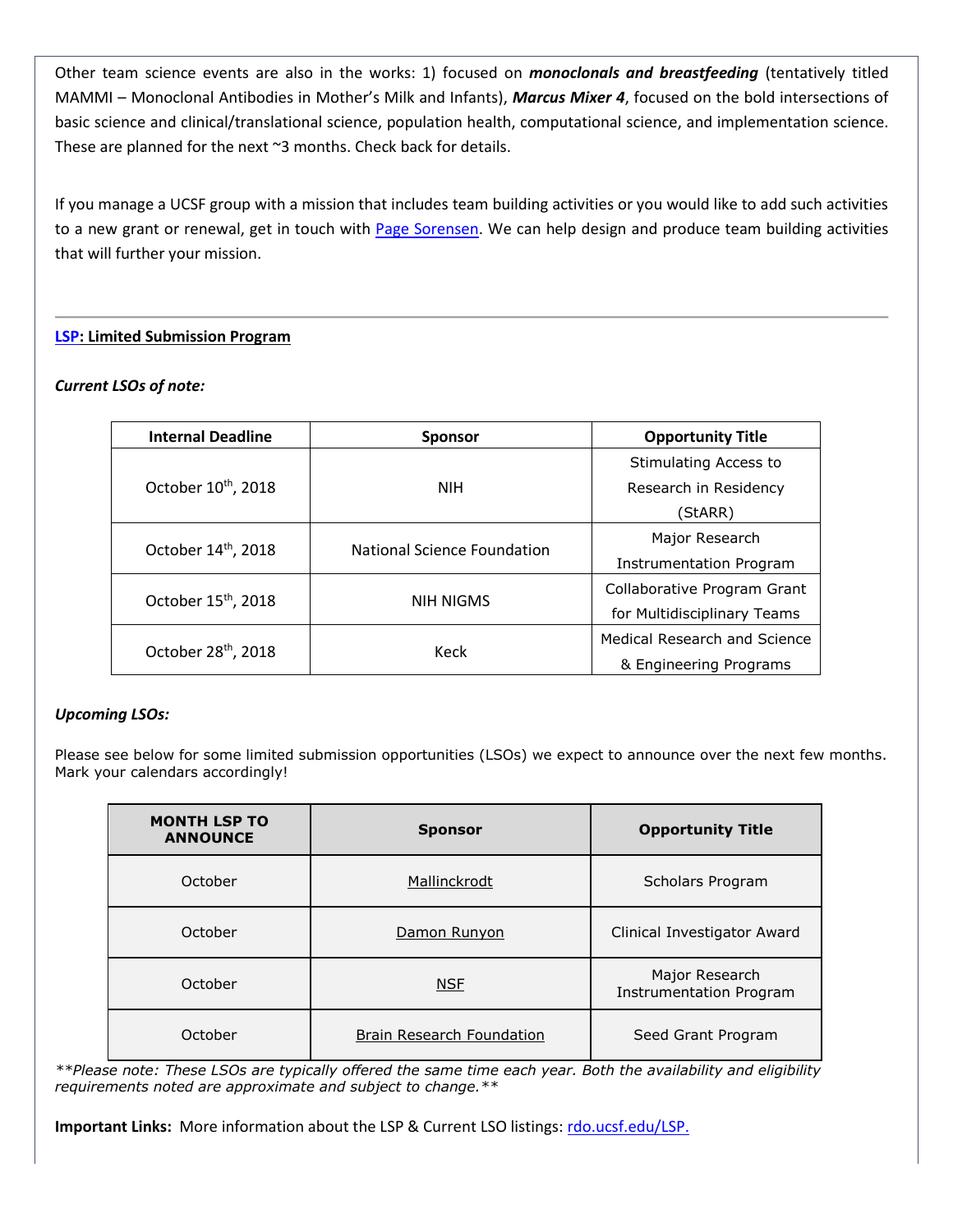Other team science events are also in the works: 1) focused on *monoclonals and breastfeeding* (tentatively titled MAMMI – Monoclonal Antibodies in Mother's Milk and Infants), *Marcus Mixer 4*, focused on the bold intersections of basic science and clinical/translational science, population health, computational science, and implementation science. These are planned for the next ~3 months. Check back for details.

If you manage a UCSF group with a mission that includes team building activities or you would like to add such activities to a new grant or renewal, get in touch with [Page Sorensen.](mailto:page.sorensen@ucsf.edu) We can help design and produce team building activities that will further your mission.

# **[LSP:](http://rdo.ucsf.edu/limited-submission-program-lsp) Limited Submission Program**

# *Current LSOs of note:*

| <b>Internal Deadline</b>        | <b>Sponsor</b>              | <b>Opportunity Title</b>     |
|---------------------------------|-----------------------------|------------------------------|
| October 10 <sup>th</sup> , 2018 | NIH.                        | Stimulating Access to        |
|                                 |                             | Research in Residency        |
|                                 |                             | (StARR)                      |
| October 14th, 2018              | National Science Foundation | Major Research               |
|                                 |                             | Instrumentation Program      |
| October 15 <sup>th</sup> , 2018 | <b>NIH NIGMS</b>            | Collaborative Program Grant  |
|                                 |                             | for Multidisciplinary Teams  |
| October 28 <sup>th</sup> , 2018 | Keck                        | Medical Research and Science |
|                                 |                             | & Engineering Programs       |

### *Upcoming LSOs:*

Please see below for some limited submission opportunities (LSOs) we expect to announce over the next few months. Mark your calendars accordingly!

| <b>MONTH LSP TO</b><br><b>ANNOUNCE</b> | <b>Sponsor</b>            | <b>Opportunity Title</b>                         |
|----------------------------------------|---------------------------|--------------------------------------------------|
| October                                | Mallinckrodt              | Scholars Program                                 |
| October                                | Damon Runyon              | Clinical Investigator Award                      |
| October                                | <b>NSE</b>                | Major Research<br><b>Instrumentation Program</b> |
| October                                | Brain Research Foundation | Seed Grant Program                               |

*\*\*Please note: These LSOs are typically offered the same time each year. Both the availability and eligibility requirements noted are approximate and subject to change.\*\** 

**Important Links:** More information about the LSP & Current LSO listings[: rdo.ucsf.edu/LSP.](http://rdo.ucsf.edu/limited-submission-program-lsp)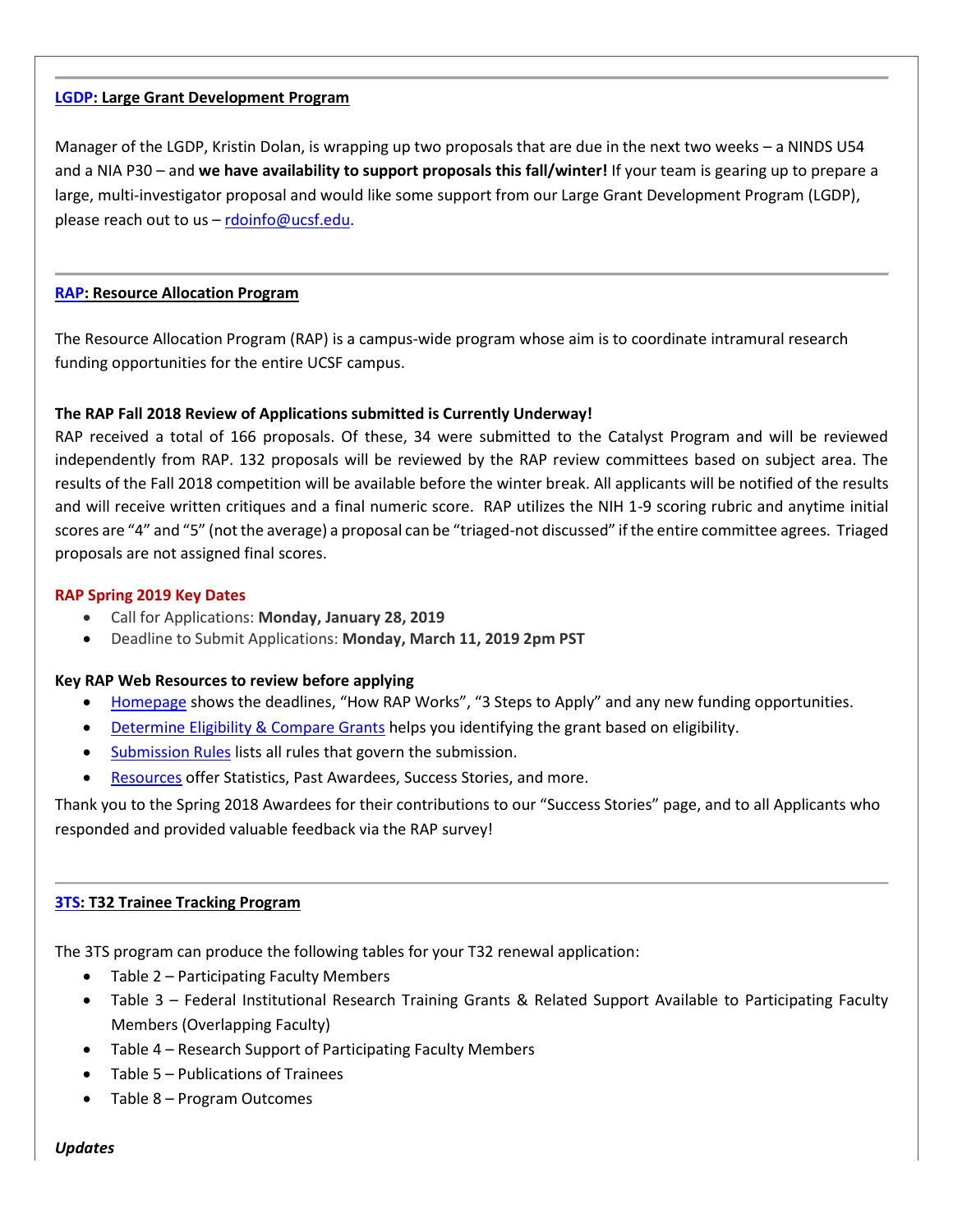#### **[LGDP:](http://rdo.ucsf.edu/large-grant-development-program-lgdp) Large Grant Development Program**

Manager of the LGDP, Kristin Dolan, is wrapping up two proposals that are due in the next two weeks – a NINDS U54 and a NIA P30 – and **we have availability to support proposals this fall/winter!** If your team is gearing up to prepare a large, multi-investigator proposal and would like some support from our Large Grant Development Program (LGDP), please reach out to us  $-$  [rdoinfo@ucsf.edu.](mailto:rdoinfo@ucsf.edu)

#### **[RAP:](https://rap.ucsf.edu/) Resource Allocation Program**

The Resource Allocation Program (RAP) is a campus-wide program whose aim is to coordinate intramural research funding opportunities for the entire UCSF campus.

#### **The RAP Fall 2018 Review of Applications submitted is Currently Underway!**

RAP received a total of 166 proposals. Of these, 34 were submitted to the Catalyst Program and will be reviewed independently from RAP. 132 proposals will be reviewed by the RAP review committees based on subject area. The results of the Fall 2018 competition will be available before the winter break. All applicants will be notified of the results and will receive written critiques and a final numeric score. RAP utilizes the NIH 1-9 scoring rubric and anytime initial scores are "4" and "5" (not the average) a proposal can be "triaged-not discussed" if the entire committee agrees. Triaged proposals are not assigned final scores.

#### **RAP Spring 2019 Key Dates**

- Call for Applications: **Monday, January 28, 2019**
- Deadline to Submit Applications: **Monday, March 11, 2019 2pm PST**

#### **Key RAP Web Resources to review before applying**

- [Homepage](https://rap.ucsf.edu/home) shows the deadlines, "How RAP Works", "3 Steps to Apply" and any new funding opportunities.
- [Determine](https://rap.ucsf.edu/determine-eligibility-compare-grants) Eligibility & Compare Grants helps you identifying the grant based on eligibility.
- **[Submission](https://rap.ucsf.edu/submission-rules) Rules** lists all rules that govern the submission.
- Resources offer Statistics, Past Awardees, Success Stories, and more.

Thank you to the Spring 2018 Awardees for their contributions to our "Success Stories" page, and to all Applicants who responded and provided valuable feedback via the RAP survey!

### **[3TS:](https://accelerate.ucsf.edu/training/t32-resources#tracking) T32 Trainee Tracking Program**

The 3TS program can produce the following tables for your T32 renewal application:

- Table 2 Participating Faculty Members
- Table 3 Federal Institutional Research Training Grants & Related Support Available to Participating Faculty Members (Overlapping Faculty)
- Table 4 Research Support of Participating Faculty Members
- Table 5 Publications of Trainees
- Table 8 Program Outcomes

### *Updates*